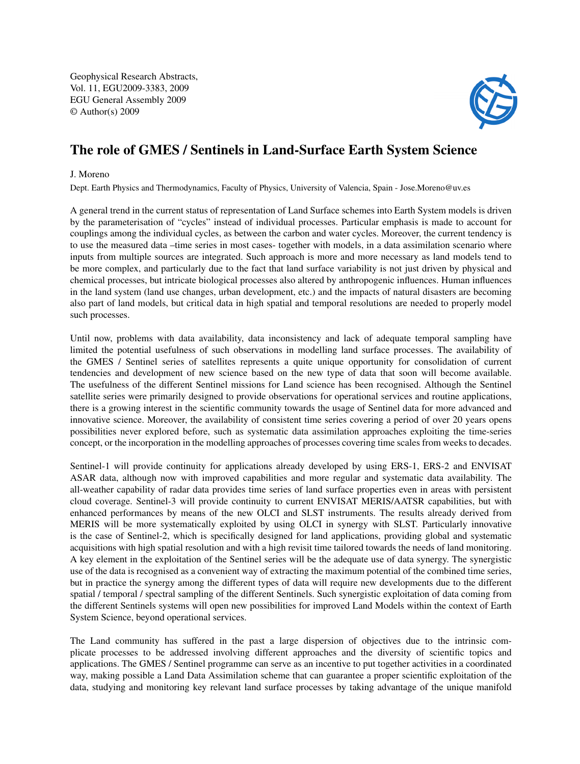Geophysical Research Abstracts, Vol. 11, EGU2009-3383, 2009 EGU General Assembly 2009 © Author(s) 2009



## The role of GMES / Sentinels in Land-Surface Earth System Science

## J. Moreno

Dept. Earth Physics and Thermodynamics, Faculty of Physics, University of Valencia, Spain - Jose.Moreno@uv.es

A general trend in the current status of representation of Land Surface schemes into Earth System models is driven by the parameterisation of "cycles" instead of individual processes. Particular emphasis is made to account for couplings among the individual cycles, as between the carbon and water cycles. Moreover, the current tendency is to use the measured data –time series in most cases- together with models, in a data assimilation scenario where inputs from multiple sources are integrated. Such approach is more and more necessary as land models tend to be more complex, and particularly due to the fact that land surface variability is not just driven by physical and chemical processes, but intricate biological processes also altered by anthropogenic influences. Human influences in the land system (land use changes, urban development, etc.) and the impacts of natural disasters are becoming also part of land models, but critical data in high spatial and temporal resolutions are needed to properly model such processes.

Until now, problems with data availability, data inconsistency and lack of adequate temporal sampling have limited the potential usefulness of such observations in modelling land surface processes. The availability of the GMES / Sentinel series of satellites represents a quite unique opportunity for consolidation of current tendencies and development of new science based on the new type of data that soon will become available. The usefulness of the different Sentinel missions for Land science has been recognised. Although the Sentinel satellite series were primarily designed to provide observations for operational services and routine applications, there is a growing interest in the scientific community towards the usage of Sentinel data for more advanced and innovative science. Moreover, the availability of consistent time series covering a period of over 20 years opens possibilities never explored before, such as systematic data assimilation approaches exploiting the time-series concept, or the incorporation in the modelling approaches of processes covering time scales from weeks to decades.

Sentinel-1 will provide continuity for applications already developed by using ERS-1, ERS-2 and ENVISAT ASAR data, although now with improved capabilities and more regular and systematic data availability. The all-weather capability of radar data provides time series of land surface properties even in areas with persistent cloud coverage. Sentinel-3 will provide continuity to current ENVISAT MERIS/AATSR capabilities, but with enhanced performances by means of the new OLCI and SLST instruments. The results already derived from MERIS will be more systematically exploited by using OLCI in synergy with SLST. Particularly innovative is the case of Sentinel-2, which is specifically designed for land applications, providing global and systematic acquisitions with high spatial resolution and with a high revisit time tailored towards the needs of land monitoring. A key element in the exploitation of the Sentinel series will be the adequate use of data synergy. The synergistic use of the data is recognised as a convenient way of extracting the maximum potential of the combined time series, but in practice the synergy among the different types of data will require new developments due to the different spatial / temporal / spectral sampling of the different Sentinels. Such synergistic exploitation of data coming from the different Sentinels systems will open new possibilities for improved Land Models within the context of Earth System Science, beyond operational services.

The Land community has suffered in the past a large dispersion of objectives due to the intrinsic complicate processes to be addressed involving different approaches and the diversity of scientific topics and applications. The GMES / Sentinel programme can serve as an incentive to put together activities in a coordinated way, making possible a Land Data Assimilation scheme that can guarantee a proper scientific exploitation of the data, studying and monitoring key relevant land surface processes by taking advantage of the unique manifold